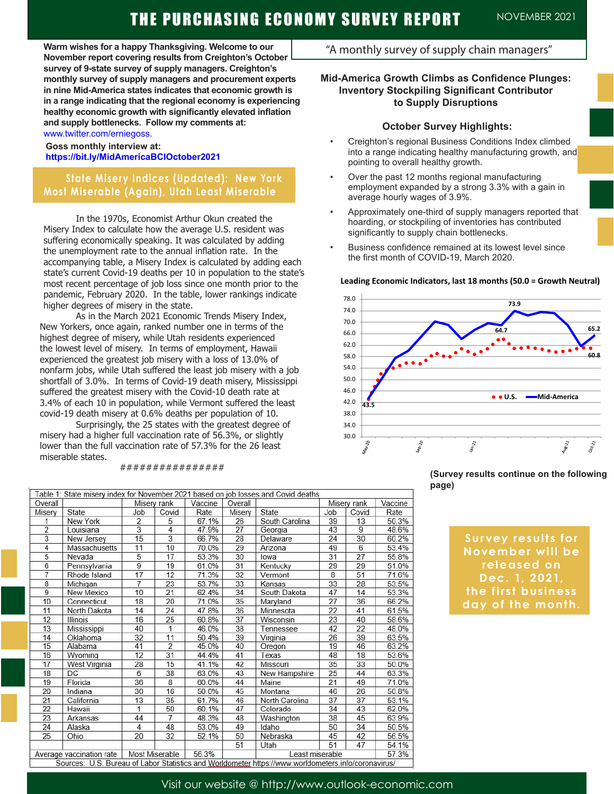**Warm wishes for a happy Thanksgiving. Welcome to our November report covering results from Creighton's October survey of 9-state survey of supply managers. Creighton's monthly survey of supply managers and procurement experts in nine Mid-America states indicates that economic growth is in a range indicating that the regional economy is experiencing healthy economic growth with significantly elevated inflation and supply bottlenecks. Follow my comments at:**  www.twitter.com/erniegoss.

#### **Goss monthly interview at: https://bit.ly/MidAmericaBCIOctober2021**

## **State Misery Indices (Updated): New York Most Miserable (Again), Utah Least Miserable**

In the 1970s, Economist Arthur Okun created the Misery Index to calculate how the average U.S. resident was suffering economically speaking. It was calculated by adding the unemployment rate to the annual inflation rate. In the accompanying table, a Misery Index is calculated by adding each state's current Covid-19 deaths per 10 in population to the state's most recent percentage of job loss since one month prior to the pandemic, February 2020. In the table, lower rankings indicate higher degrees of misery in the state.

As in the March 2021 Economic Trends Misery Index, New Yorkers, once again, ranked number one in terms of the highest degree of misery, while Utah residents experienced the lowest level of misery. In terms of employment, Hawaii experienced the greatest job misery with a loss of 13.0% of nonfarm jobs, while Utah suffered the least job misery with a job shortfall of 3.0%. In terms of Covid-19 death misery, Mississippi suffered the greatest misery with the Covid-10 death rate at 3.4% of each 10 in population, while Vermont suffered the least covid-19 death misery at 0.6% deaths per population of 10.

Surprisingly, the 25 states with the greatest degree of misery had a higher full vaccination rate of 56.3%, or slightly lower than the full vaccination rate of 57.3% for the 26 least miserable states.

#### ################

| "A monthly survey of supply chain managers" |  |  |  |  |
|---------------------------------------------|--|--|--|--|
|---------------------------------------------|--|--|--|--|

### **Mid-America Growth Climbs as Confidence Plunges: Inventory Stockpiling Significant Contributor to Supply Disruptions**

#### **October Survey Highlights:**

- Creighton's regional Business Conditions Index climbed into a range indicating healthy manufacturing growth, and pointing to overall healthy growth.
- Over the past 12 months regional manufacturing employment expanded by a strong 3.3% with a gain in average hourly wages of 3.9%.
- Approximately one-third of supply managers reported that hoarding, or stockpiling of inventories has contributed significantly to supply chain bottlenecks.
- Business confidence remained at its lowest level since the first month of COVID-19, March 2020.

#### **Leading Economic Indicators, last 18 months (50.0 = Growth Neutral)**



#### **(Survey results continue on the following page)**

**Survey results for November will be released on Dec. 1, 2021, the first business day of the month.** 

| Table 1: State misery index for November 2021 based on job losses and Covid deaths                  |                 |                |                |         |         |                |             |       |         |  |
|-----------------------------------------------------------------------------------------------------|-----------------|----------------|----------------|---------|---------|----------------|-------------|-------|---------|--|
| Overall                                                                                             |                 |                | Misery rank    | Vaccine | Overall |                | Misery rank |       | Vaccine |  |
| Misery                                                                                              | State           | Job            | Covid          | Rate    | Misery  | State          | Job         | Covid | Rate    |  |
| 1                                                                                                   | New York        | $\overline{2}$ | 5              | 67.1%   | 26      | South Carolina | 39          | 13    | 50.3%   |  |
| $\overline{2}$                                                                                      | Louisiana       | $\overline{3}$ | 4              | 47.9%   | 27      | Georgia        | 43          | 9     | 48.6%   |  |
| 3                                                                                                   | New Jersey      | 15             | 3              | 66.7%   | 28      | Delaware       | 24          | 30    | 60.2%   |  |
| 4                                                                                                   | Massachusetts   | 11             | 10             | 70.0%   | 29      | Arizona        | 49          | 6     | 53.4%   |  |
| 5                                                                                                   | Nevada          | $\overline{5}$ | 17             | 53.3%   | 30      | lowa           | 31          | 27    | 55.8%   |  |
| 6                                                                                                   | Pennsylvania    | 9              | 19             | 61.0%   | 31      | Kentucky       | 29          | 29    | 51.0%   |  |
| 7                                                                                                   | Rhode Island    | 17             | 12             | 71.3%   | 32      | Vermont        | 8           | 51    | 71.6%   |  |
| 8                                                                                                   | Michigan        | $\overline{7}$ | 23             | 53.7%   | 33      | Kansas         | 33          | 28    | 53.5%   |  |
| 9                                                                                                   | New Mexico      | 10             | 21             | 62.4%   | 34      | South Dakota   | 47          | 14    | 53.3%   |  |
| 10                                                                                                  | Connecticut     | 18             | 20             | 71.0%   | 35      | Maryland       | 27          | 36    | 66.2%   |  |
| 11                                                                                                  | North Dakota    | 14             | 24             | 47.8%   | 36      | Minnesota      | 22          | 41    | 61.5%   |  |
| 12                                                                                                  | <b>Illinois</b> | 16             | 25             | 60.8%   | 37      | Wisconsin      | 23          | 40    | 58.6%   |  |
| 13                                                                                                  | Mississippi     | 40             | $\mathbf{1}$   | 46.0%   | 38      | Tennessee      | 42          | 22    | 48.0%   |  |
| 14                                                                                                  | Oklahoma        | 32             | 11             | 50.4%   | 39      | Virginia       | 26          | 39    | 63.5%   |  |
| 15                                                                                                  | Alabama         | 41             | $\overline{2}$ | 45.0%   | 40      | Oregon         | 19          | 46    | 63.2%   |  |
| 16                                                                                                  | Wyoming         | 12             | 31             | 44.4%   | 41      | Texas          | 48          | 18    | 53.6%   |  |
| 17                                                                                                  | West Virginia   | 28             | 15             | 41.1%   | 42      | Missouri       | 35          | 33    | 50.0%   |  |
| 18                                                                                                  | <b>DC</b>       | 6              | 38             | 63.0%   | 43      | New Hampshire  | 25          | 44    | 63.3%   |  |
| 19                                                                                                  | Florida         | 36             | 8              | 60.0%   | 44      | Maine          | 21          | 49    | 71.0%   |  |
| 20                                                                                                  | Indiana         | 30             | 16             | 50.0%   | 45      | Montana        | 46          | 26    | 50.8%   |  |
| 21                                                                                                  | California      | 13             | 35             | 61.7%   | 46      | North Carolina | 37          | 37    | 53.1%   |  |
| 22                                                                                                  | Hawaii          | 1              | 50             | 60.1%   | 47      | Colorado       | 34          | 43    | 62.0%   |  |
| 23                                                                                                  | Arkansas        | 44             | $\overline{7}$ | 48.3%   | 48      | Washington     | 38          | 45    | 63.9%   |  |
| 24                                                                                                  | Alaska          | $\overline{4}$ | 48             | 53.0%   | 49      | Idaho          | 50          | 34    | 50.5%   |  |
| 25                                                                                                  | Ohio            | 20             | 32             | 52.1%   | 50      | Nebraska       | 45          | 42    | 56.5%   |  |
|                                                                                                     |                 |                |                |         | 51      | Utah           | 51          | 47    | 54.1%   |  |
| Most Miserable<br>56.3%<br>Average vaccination rate<br>Least miserable                              |                 |                |                |         |         | 57.3%          |             |       |         |  |
| Sources: U.S. Bureau of Labor Statistics and Worldometer https://www.worldometers.info/coronavirus/ |                 |                |                |         |         |                |             |       |         |  |

Visit our website @ http://www.outlook-economic.com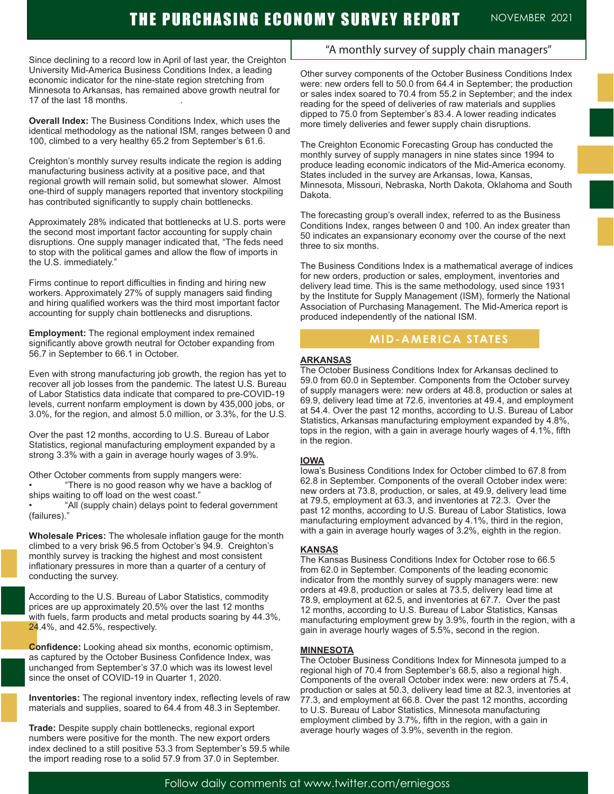Since declining to a record low in April of last year, the Creighton University Mid-America Business Conditions Index, a leading economic indicator for the nine-state region stretching from Minnesota to Arkansas, has remained above growth neutral for 17 of the last 18 months. .

**Overall Index:** The Business Conditions Index, which uses the identical methodology as the national ISM, ranges between 0 and 100, climbed to a very healthy 65.2 from September's 61.6.

Creighton's monthly survey results indicate the region is adding manufacturing business activity at a positive pace, and that regional growth will remain solid, but somewhat slower. Almost one-third of supply managers reported that inventory stockpiling has contributed significantly to supply chain bottlenecks.

Approximately 28% indicated that bottlenecks at U.S. ports were the second most important factor accounting for supply chain disruptions. One supply manager indicated that, "The feds need to stop with the political games and allow the flow of imports in the U.S. immediately."

Firms continue to report difficulties in finding and hiring new workers. Approximately 27% of supply managers said finding and hiring qualified workers was the third most important factor accounting for supply chain bottlenecks and disruptions.

**Employment:** The regional employment index remained significantly above growth neutral for October expanding from 56.7 in September to 66.1 in October.

Even with strong manufacturing job growth, the region has yet to recover all job losses from the pandemic. The latest U.S. Bureau of Labor Statistics data indicate that compared to pre-COVID-19 levels, current nonfarm employment is down by 435,000 jobs, or 3.0%, for the region, and almost 5.0 million, or 3.3%, for the U.S.

Over the past 12 months, according to U.S. Bureau of Labor Statistics, regional manufacturing employment expanded by a strong 3.3% with a gain in average hourly wages of 3.9%.

Other October comments from supply mangers were:

• "There is no good reason why we have a backlog of ships waiting to off load on the west coast."

• "All (supply chain) delays point to federal government (failures)."

**Wholesale Prices:** The wholesale inflation gauge for the month climbed to a very brisk 96.5 from October's 94.9. Creighton's monthly survey is tracking the highest and most consistent inflationary pressures in more than a quarter of a century of conducting the survey.

According to the U.S. Bureau of Labor Statistics, commodity prices are up approximately 20.5% over the last 12 months with fuels, farm products and metal products soaring by 44.3%, 24.4%, and 42.5%, respectively.

**Confidence:** Looking ahead six months, economic optimism, as captured by the October Business Confidence Index, was unchanged from September's 37.0 which was its lowest level since the onset of COVID-19 in Quarter 1, 2020.

**Inventories:** The regional inventory index, reflecting levels of raw materials and supplies, soared to 64.4 from 48.3 in September.

**Trade:** Despite supply chain bottlenecks, regional export numbers were positive for the month. The new export orders index declined to a still positive 53.3 from September's 59.5 while the import reading rose to a solid 57.9 from 37.0 in September.

## "A monthly survey of supply chain managers"

Other survey components of the October Business Conditions Index were: new orders fell to 50.0 from 64.4 in September; the production or sales index soared to 70.4 from 55.2 in September; and the index reading for the speed of deliveries of raw materials and supplies dipped to 75.0 from September's 83.4. A lower reading indicates more timely deliveries and fewer supply chain disruptions.

The Creighton Economic Forecasting Group has conducted the monthly survey of supply managers in nine states since 1994 to produce leading economic indicators of the Mid-America economy. States included in the survey are Arkansas, Iowa, Kansas, Minnesota, Missouri, Nebraska, North Dakota, Oklahoma and South Dakota.

The forecasting group's overall index, referred to as the Business Conditions Index, ranges between 0 and 100. An index greater than 50 indicates an expansionary economy over the course of the next three to six months.

The Business Conditions Index is a mathematical average of indices for new orders, production or sales, employment, inventories and delivery lead time. This is the same methodology, used since 1931 by the Institute for Supply Management (ISM), formerly the National Association of Purchasing Management. The Mid-America report is produced independently of the national ISM.

## **MID-AMERICA STATES**

#### **ARKANSAS**

The October Business Conditions Index for Arkansas declined to 59.0 from 60.0 in September. Components from the October survey of supply managers were: new orders at 48.8, production or sales at 69.9, delivery lead time at 72.6, inventories at 49.4, and employment at 54.4. Over the past 12 months, according to U.S. Bureau of Labor Statistics, Arkansas manufacturing employment expanded by 4.8%, tops in the region, with a gain in average hourly wages of 4.1%, fifth in the region.

#### **IOWA**

Iowa's Business Conditions Index for October climbed to 67.8 from 62.8 in September. Components of the overall October index were: new orders at 73.8, production, or sales, at 49.9, delivery lead time at 79.5, employment at 63.3, and inventories at 72.3. Over the past 12 months, according to U.S. Bureau of Labor Statistics, Iowa manufacturing employment advanced by 4.1%, third in the region, with a gain in average hourly wages of 3.2%, eighth in the region.

#### **KANSAS**

The Kansas Business Conditions Index for October rose to 66.5 from 62.0 in September. Components of the leading economic indicator from the monthly survey of supply managers were: new orders at 49.8, production or sales at 73.5, delivery lead time at 78.9, employment at 62.5, and inventories at 67.7. Over the past 12 months, according to U.S. Bureau of Labor Statistics, Kansas manufacturing employment grew by 3.9%, fourth in the region, with a gain in average hourly wages of 5.5%, second in the region.

#### **MINNESOTA**

The October Business Conditions Index for Minnesota jumped to a regional high of 70.4 from September's 68.5, also a regional high. Components of the overall October index were: new orders at 75.4, production or sales at 50.3, delivery lead time at 82.3, inventories at 77.3, and employment at 66.8. Over the past 12 months, according to U.S. Bureau of Labor Statistics, Minnesota manufacturing employment climbed by 3.7%, fifth in the region, with a gain in average hourly wages of 3.9%, seventh in the region.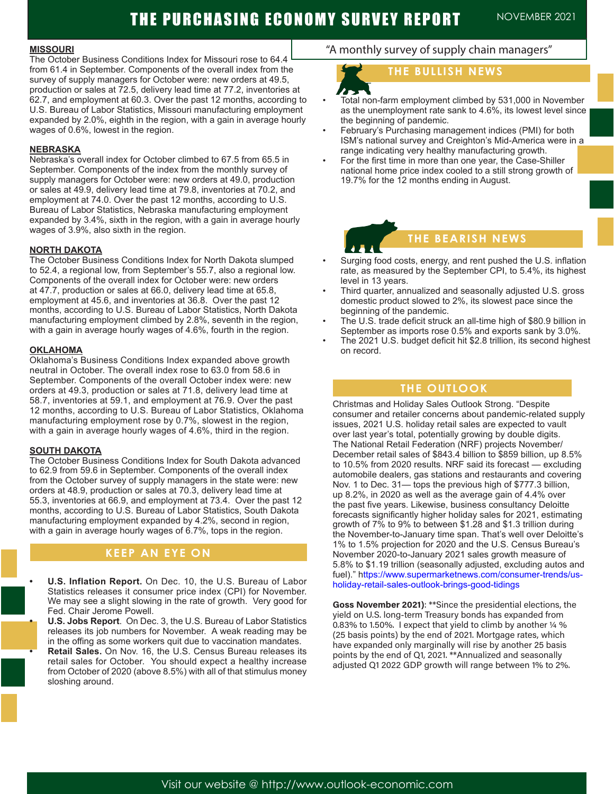# THE PURCHASING ECONOMY SURVEY REPORT NOVEMBER 2021

#### **MISSOURI**

The October Business Conditions Index for Missouri rose to 64.4 from 61.4 in September. Components of the overall index from the survey of supply managers for October were: new orders at 49.5, production or sales at 72.5, delivery lead time at 77.2, inventories at 62.7, and employment at 60.3. Over the past 12 months, according to U.S. Bureau of Labor Statistics, Missouri manufacturing employment expanded by 2.0%, eighth in the region, with a gain in average hourly wages of 0.6%, lowest in the region.

#### **NEBRASKA**

Nebraska's overall index for October climbed to 67.5 from 65.5 in September. Components of the index from the monthly survey of supply managers for October were: new orders at 49.0, production or sales at 49.9, delivery lead time at 79.8, inventories at 70.2, and employment at 74.0. Over the past 12 months, according to U.S. Bureau of Labor Statistics, Nebraska manufacturing employment expanded by 3.4%, sixth in the region, with a gain in average hourly wages of 3.9%, also sixth in the region.

#### **NORTH DAKOTA**

The October Business Conditions Index for North Dakota slumped to 52.4, a regional low, from September's 55.7, also a regional low. Components of the overall index for October were: new orders at 47.7, production or sales at 66.0, delivery lead time at 65.8, employment at 45.6, and inventories at 36.8. Over the past 12 months, according to U.S. Bureau of Labor Statistics, North Dakota manufacturing employment climbed by 2.8%, seventh in the region, with a gain in average hourly wages of 4.6%, fourth in the region.

#### **OKLAHOMA**

Oklahoma's Business Conditions Index expanded above growth neutral in October. The overall index rose to 63.0 from 58.6 in September. Components of the overall October index were: new orders at 49.3, production or sales at 71.8, delivery lead time at 58.7, inventories at 59.1, and employment at 76.9. Over the past 12 months, according to U.S. Bureau of Labor Statistics, Oklahoma manufacturing employment rose by 0.7%, slowest in the region, with a gain in average hourly wages of 4.6%, third in the region.

#### **SOUTH DAKOTA**

l

The October Business Conditions Index for South Dakota advanced to 62.9 from 59.6 in September. Components of the overall index from the October survey of supply managers in the state were: new orders at 48.9, production or sales at 70.3, delivery lead time at 55.3, inventories at 66.9, and employment at 73.4. Over the past 12 months, according to U.S. Bureau of Labor Statistics, South Dakota manufacturing employment expanded by 4.2%, second in region, with a gain in average hourly wages of 6.7%, tops in the region.

## **KEEP AN EYE ON**

**• U.S. Inflation Report.** On Dec. 10, the U.S. Bureau of Labor Statistics releases it consumer price index (CPI) for November. We may see a slight slowing in the rate of growth. Very good for Fed. Chair Jerome Powell.

**• U.S. Jobs Report**. On Dec. 3, the U.S. Bureau of Labor Statistics releases its job numbers for November. A weak reading may be in the offing as some workers quit due to vaccination mandates.

**• Retail Sales.** On Nov. 16, the U.S. Census Bureau releases its retail sales for October. You should expect a healthy increase from October of 2020 (above 8.5%) with all of that stimulus money sloshing around.

## "A monthly survey of supply chain managers"

## **THE BULLISH NEWS**

- Total non-farm employment climbed by 531,000 in November as the unemployment rate sank to 4.6%, its lowest level since the beginning of pandemic.
- February's Purchasing management indices (PMI) for both ISM's national survey and Creighton's Mid-America were in a range indicating very healthy manufacturing growth.
- For the first time in more than one year, the Case-Shiller national home price index cooled to a still strong growth of 19.7% for the 12 months ending in August.

A

## **THE BEARISH NEWS**

- Surging food costs, energy, and rent pushed the U.S. inflation rate, as measured by the September CPI, to 5.4%, its highest level in 13 years.
- Third quarter, annualized and seasonally adjusted U.S. gross domestic product slowed to 2%, its slowest pace since the beginning of the pandemic.
- The U.S. trade deficit struck an all-time high of \$80.9 billion in September as imports rose 0.5% and exports sank by 3.0%.
- The 2021 U.S. budget deficit hit \$2.8 trillion, its second highest on record.

### **THE OUTLOOK**

Christmas and Holiday Sales Outlook Strong. "Despite consumer and retailer concerns about pandemic-related supply issues, 2021 U.S. holiday retail sales are expected to vault over last year's total, potentially growing by double digits. The National Retail Federation (NRF) projects November/ December retail sales of \$843.4 billion to \$859 billion, up 8.5% to 10.5% from 2020 results. NRF said its forecast — excluding automobile dealers, gas stations and restaurants and covering Nov. 1 to Dec. 31— tops the previous high of \$777.3 billion, up 8.2%, in 2020 as well as the average gain of 4.4% over the past five years. Likewise, business consultancy Deloitte forecasts significantly higher holiday sales for 2021, estimating growth of 7% to 9% to between \$1.28 and \$1.3 trillion during the November-to-January time span. That's well over Deloitte's 1% to 1.5% projection for 2020 and the U.S. Census Bureau's November 2020-to-January 2021 sales growth measure of 5.8% to \$1.19 trillion (seasonally adjusted, excluding autos and fuel)." https://www.supermarketnews.com/consumer-trends/usholiday-retail-sales-outlook-brings-good-tidings

**Goss November 2021)**: \*\*Since the presidential elections, the yield on U.S. long-term Treasury bonds has expanded from 0.83% to 1.50%. I expect that yield to climb by another ¼ % (25 basis points) by the end of 2021. Mortgage rates, which have expanded only marginally will rise by another 25 basis points by the end of Q1, 2021. \*\*Annualized and seasonally adjusted Q1 2022 GDP growth will range between 1% to 2%.

Visit our website @ http://www.outlook-economic.com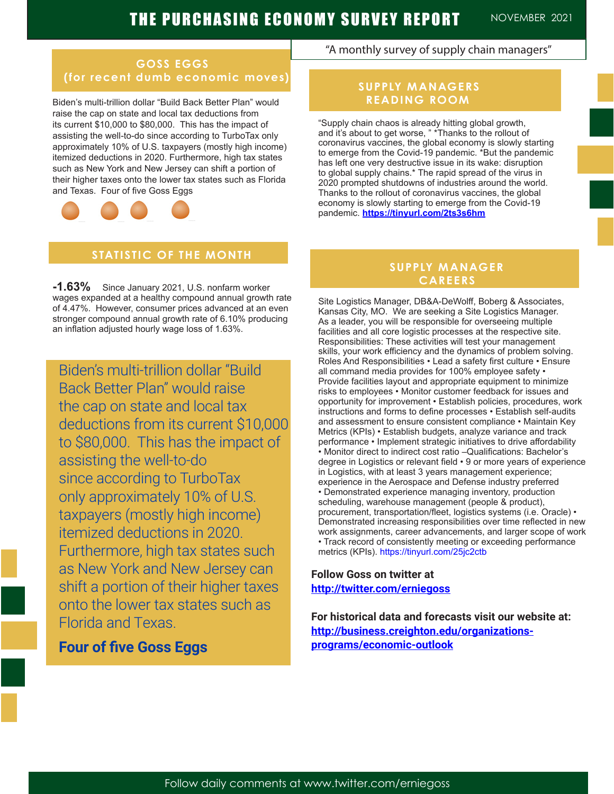## **GOSS EGGS (for recent dumb economic moves)**

Biden's multi-trillion dollar "Build Back Better Plan" would raise the cap on state and local tax deductions from its current \$10,000 to \$80,000. This has the impact of assisting the well-to-do since according to TurboTax only approximately 10% of U.S. taxpayers (mostly high income) itemized deductions in 2020. Furthermore, high tax states such as New York and New Jersey can shift a portion of their higher taxes onto the lower tax states such as Florida and Texas. Four of five Goss Eggs



## **STATISTIC OF THE MONTH**

**-1.63%** Since January 2021, U.S. nonfarm worker wages expanded at a healthy compound annual growth rate of 4.47%. However, consumer prices advanced at an even stronger compound annual growth rate of 6.10% producing an inflation adjusted hourly wage loss of 1.63%.

to \$80,000. This has the impact of Biden's multi-trillion dollar "Build Back Better Plan" would raise the cap on state and local tax deductions from its current \$10,000 assisting the well-to-do since according to TurboTax only approximately 10% of U.S. taxpayers (mostly high income) itemized deductions in 2020. Furthermore, high tax states such as New York and New Jersey can shift a portion of their higher taxes onto the lower tax states such as Florida and Texas.

## **Four of five Goss Eggs**

## "A monthly survey of supply chain managers"

## **SUPPLY MANAGERS READING ROOM**

"Supply chain chaos is already hitting global growth, and it's about to get worse, " \*Thanks to the rollout of coronavirus vaccines, the global economy is slowly starting to emerge from the Covid-19 pandemic. \*But the pandemic has left one very destructive issue in its wake: disruption to global supply chains.\* The rapid spread of the virus in 2020 prompted shutdowns of industries around the world. Thanks to the rollout of coronavirus vaccines, the global economy is slowly starting to emerge from the Covid-19 pandemic. **https://tinyurl.com/2ts3s6hm**

## **SUPPLY MANAGER CAREERS**

Site Logistics Manager, DB&A-DeWolff, Boberg & Associates, Kansas City, MO. We are seeking a Site Logistics Manager. As a leader, you will be responsible for overseeing multiple facilities and all core logistic processes at the respective site. Responsibilities: These activities will test your management skills, your work efficiency and the dynamics of problem solving. Roles And Responsibilities • Lead a safety first culture • Ensure all command media provides for 100% employee safety • Provide facilities layout and appropriate equipment to minimize risks to employees • Monitor customer feedback for issues and opportunity for improvement • Establish policies, procedures, work instructions and forms to define processes • Establish self-audits and assessment to ensure consistent compliance • Maintain Key Metrics (KPIs) • Establish budgets, analyze variance and track performance • Implement strategic initiatives to drive affordability • Monitor direct to indirect cost ratio –Qualifications: Bachelor's degree in Logistics or relevant field • 9 or more years of experience in Logistics, with at least 3 years management experience; experience in the Aerospace and Defense industry preferred • Demonstrated experience managing inventory, production scheduling, warehouse management (people & product), procurement, transportation/fleet, logistics systems (i.e. Oracle) • Demonstrated increasing responsibilities over time reflected in new work assignments, career advancements, and larger scope of work • Track record of consistently meeting or exceeding performance metrics (KPIs). https://tinyurl.com/25jc2ctb

## **Follow Goss on twitter at http://twitter.com/erniegoss**

**For historical data and forecasts visit our website at: http://business.creighton.edu/organizations**programs/economic-outlook